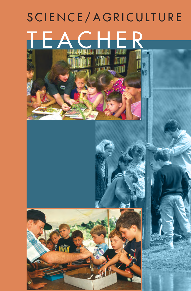# SCIENCE/AGRICULTURE TEAC

**TAN**